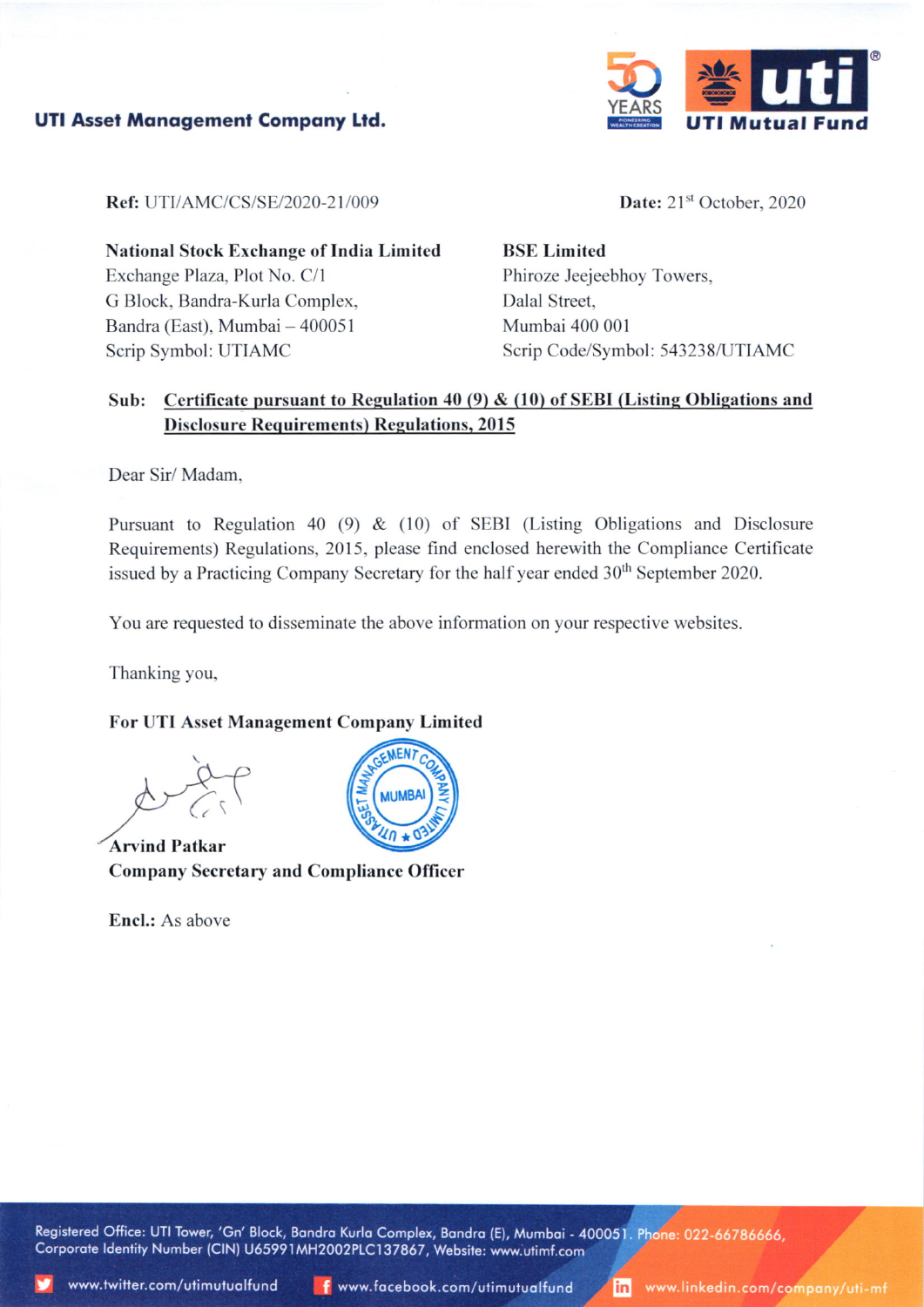



Ref: UTI/AMC/CS/SE/2020-21/009

Date: 21<sup>st</sup> October, 2020

**National Stock Exchange of India Limited** Exchange Plaza, Plot No. C/1 G Block, Bandra-Kurla Complex, Bandra (East), Mumbai - 400051 Scrip Symbol: UTIAMC

**BSE Limited** Phiroze Jeejeebhoy Towers, Dalal Street. Mumbai 400 001 Scrip Code/Symbol: 543238/UTIAMC

## Sub: Certificate pursuant to Regulation 40 (9) & (10) of SEBI (Listing Obligations and **Disclosure Requirements) Regulations, 2015**

Dear Sir/Madam.

Pursuant to Regulation 40 (9)  $\&$  (10) of SEBI (Listing Obligations and Disclosure Requirements) Regulations, 2015, please find enclosed herewith the Compliance Certificate issued by a Practicing Company Secretary for the half year ended 30<sup>th</sup> September 2020.

You are requested to disseminate the above information on your respective websites.

Thanking you,

## For UTI Asset Management Company Limited

**Arvind Patkar Company Secretary and Compliance Officer** 

Encl.: As above



Registered Office: UTI Tower, 'Gn' Block, Bandra Kurla Complex, Bandra (E), Mumbai - 400051. Phone: 022-66786666, Corporate Identity Number (CIN) U65991MH2002PLC137867, Website: www.utimf.com